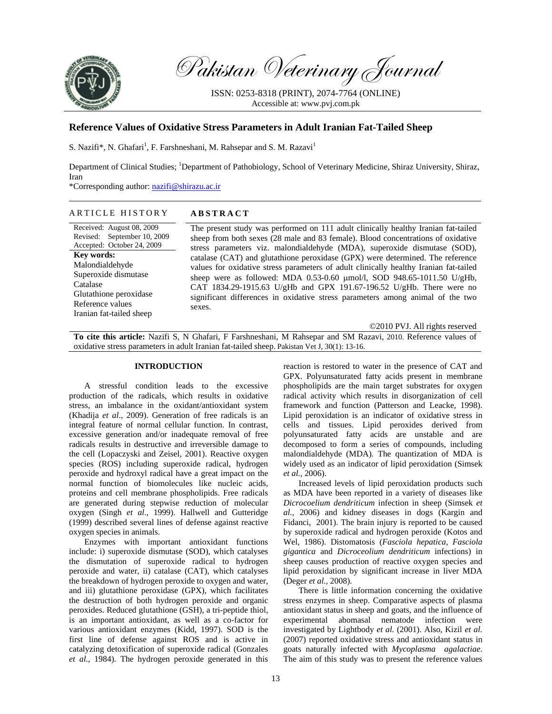

Pakistan Veterinary Journal

ISSN: 0253-8318 (PRINT), 2074-7764 (ONLINE) Accessible at: www.pvj.com.pk

# **Reference Values of Oxidative Stress Parameters in Adult Iranian Fat-Tailed Sheep**

S. Nazifi\*, N. Ghafari<sup>1</sup>, F. Farshneshani, M. Rahsepar and S. M. Razavi<sup>1</sup>

Department of Clinical Studies; <sup>1</sup>Department of Pathobiology, School of Veterinary Medicine, Shiraz University, Shiraz, Iran

\*Corresponding author: nazifi@shirazu.ac.ir

## ARTICLE HISTORY **ABSTRACT**

Received: August 08, 2009 Revised: September 10, 2009 Accepted: October 24, 2009 **Key words:**  Malondialdehyde Superoxide dismutase Catalase Glutathione peroxidase Reference values Iranian fat-tailed sheep

The present study was performed on 111 adult clinically healthy Iranian fat-tailed sheep from both sexes (28 male and 83 female). Blood concentrations of oxidative stress parameters viz. malondialdehyde (MDA), superoxide dismutase (SOD), catalase (CAT) and glutathione peroxidase (GPX) were determined. The reference values for oxidative stress parameters of adult clinically healthy Iranian fat-tailed sheep were as followed: MDA 0.53-0.60 µmol/l, SOD 948.65-1011.50 U/gHb, CAT 1834.29-1915.63 U/gHb and GPX 191.67-196.52 U/gHb. There were no significant differences in oxidative stress parameters among animal of the two sexes.

©2010 PVJ. All rights reserved

**To cite this article:** Nazifi S, N Ghafari, F Farshneshani, M Rahsepar and SM Razavi, 2010. Reference values of oxidative stress parameters in adult Iranian fat-tailed sheep. Pakistan Vet J, 30(1): 13-16.

### **INTRODUCTION**

A stressful condition leads to the excessive production of the radicals, which results in oxidative stress, an imbalance in the oxidant/antioxidant system (Khadija *et al*., 2009). Generation of free radicals is an integral feature of normal cellular function. In contrast, excessive generation and/or inadequate removal of free radicals results in destructive and irreversible damage to the cell (Lopaczyski and Zeisel, 2001). Reactive oxygen species (ROS) including superoxide radical, hydrogen peroxide and hydroxyl radical have a great impact on the normal function of biomolecules like nucleic acids, proteins and cell membrane phospholipids. Free radicals are generated during stepwise reduction of molecular oxygen (Singh *et al*., 1999). Hallwell and Gutteridge (1999) described several lines of defense against reactive oxygen species in animals.

Enzymes with important antioxidant functions include: i) superoxide dismutase (SOD), which catalyses the dismutation of superoxide radical to hydrogen peroxide and water, ii) catalase (CAT), which catalyses the breakdown of hydrogen peroxide to oxygen and water, and iii) glutathione peroxidase (GPX), which facilitates the destruction of both hydrogen peroxide and organic peroxides. Reduced glutathione (GSH), a tri-peptide thiol, is an important antioxidant, as well as a co-factor for various antioxidant enzymes (Kidd, 1997). SOD is the first line of defense against ROS and is active in catalyzing detoxification of superoxide radical (Gonzales *et al.,* 1984). The hydrogen peroxide generated in this

reaction is restored to water in the presence of CAT and GPX. Polyunsaturated fatty acids present in membrane phospholipids are the main target substrates for oxygen radical activity which results in disorganization of cell framework and function (Patterson and Leacke, 1998). Lipid peroxidation is an indicator of oxidative stress in cells and tissues. Lipid peroxides derived from polyunsaturated fatty acids are unstable and are decomposed to form a series of compounds, including malondialdehyde (MDA). The quantization of MDA is widely used as an indicator of lipid peroxidation (Simsek *et al.,* 2006).

Increased levels of lipid peroxidation products such as MDA have been reported in a variety of diseases like *Dicrocoelium dendriticum* infection in sheep (Simsek *et al.,* 2006) and kidney diseases in dogs (Kargin and Fidanci, 2001). The brain injury is reported to be caused by superoxide radical and hydrogen peroxide (Kotos and Wel, 1986). Distomatosis (*Fasciola hepatica, Fasciola gigantica* and *Dicroceolium dendriticum* infections) in sheep causes production of reactive oxygen species and lipid peroxidation by significant increase in liver MDA (Deger *et al.,* 2008).

There is little information concerning the oxidative stress enzymes in sheep. Comparative aspects of plasma antioxidant status in sheep and goats, and the influence of experimental abomasal nematode infection were investigated by Lightbody *et al.* (2001). Also, Kizil *et al.* (2007) reported oxidative stress and antioxidant status in goats naturally infected with *Mycoplasma agalactiae*. The aim of this study was to present the reference values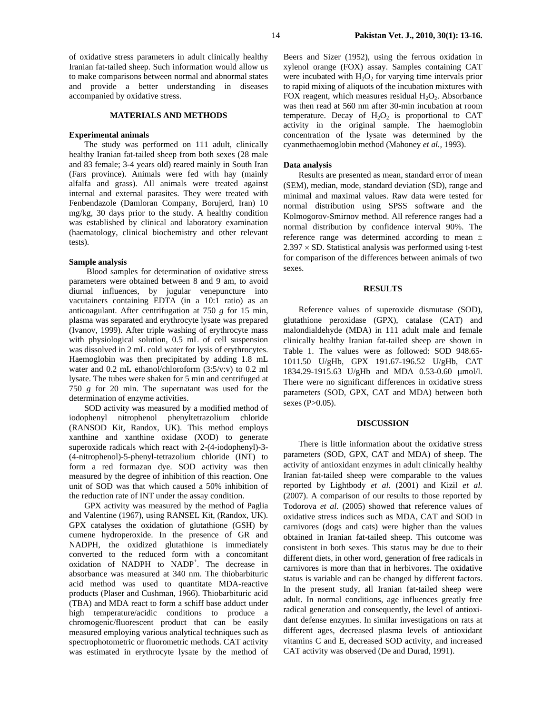of oxidative stress parameters in adult clinically healthy Iranian fat-tailed sheep. Such information would allow us to make comparisons between normal and abnormal states and provide a better understanding in diseases accompanied by oxidative stress.

#### **MATERIALS AND METHODS**

#### **Experimental animals**

The study was performed on 111 adult, clinically healthy Iranian fat-tailed sheep from both sexes (28 male and 83 female; 3-4 years old) reared mainly in South Iran (Fars province). Animals were fed with hay (mainly alfalfa and grass). All animals were treated against internal and external parasites. They were treated with Fenbendazole (Damloran Company, Borujerd, Iran) 10 mg/kg, 30 days prior to the study. A healthy condition was established by clinical and laboratory examination (haematology, clinical biochemistry and other relevant tests).

## **Sample analysis**

 Blood samples for determination of oxidative stress parameters were obtained between 8 and 9 am, to avoid diurnal influences, by jugular venepuncture into vacutainers containing EDTA (in a 10:1 ratio) as an anticoagulant. After centrifugation at 750 *g* for 15 min, plasma was separated and erythrocyte lysate was prepared (Ivanov, 1999). After triple washing of erythrocyte mass with physiological solution, 0.5 mL of cell suspension was dissolved in 2 mL cold water for lysis of erythrocytes. Haemoglobin was then precipitated by adding 1.8 mL water and 0.2 mL ethanol/chloroform (3:5/v:v) to 0.2 ml lysate. The tubes were shaken for 5 min and centrifuged at 750 *g* for 20 min. The supernatant was used for the determination of enzyme activities.

SOD activity was measured by a modified method of iodophenyl nitrophenol phenyltetrazolium chloride (RANSOD Kit, Randox, UK). This method employs xanthine and xanthine oxidase (XOD) to generate superoxide radicals which react with 2-(4-iodophenyl)-3- (4-nitrophenol)-5-phenyl-tetrazolium chloride (INT) to form a red formazan dye. SOD activity was then measured by the degree of inhibition of this reaction. One unit of SOD was that which caused a 50% inhibition of the reduction rate of INT under the assay condition.

GPX activity was measured by the method of Paglia and Valentine (1967), using RANSEL Kit, (Randox, UK). GPX catalyses the oxidation of glutathione (GSH) by cumene hydroperoxide. In the presence of GR and NADPH, the oxidized glutathione is immediately converted to the reduced form with a concomitant oxidation of NADPH to NADP<sup>+</sup>. The decrease in absorbance was measured at 340 nm. The thiobarbituric acid method was used to quantitate MDA-reactive products (Plaser and Cushman, 1966). Thiobarbituric acid (TBA) and MDA react to form a schiff base adduct under high temperature/acidic conditions to produce a chromogenic/fluorescent product that can be easily measured employing various analytical techniques such as spectrophotometric or fluorometric methods. CAT activity was estimated in erythrocyte lysate by the method of

Beers and Sizer (1952), using the ferrous oxidation in xylenol orange (FOX) assay. Samples containing CAT were incubated with  $H_2O_2$  for varying time intervals prior to rapid mixing of aliquots of the incubation mixtures with FOX reagent, which measures residual  $H_2O_2$ . Absorbance was then read at 560 nm after 30-min incubation at room temperature. Decay of  $H_2O_2$  is proportional to CAT activity in the original sample. The haemoglobin concentration of the lysate was determined by the cyanmethaemoglobin method (Mahoney *et al.,* 1993).

### **Data analysis**

Results are presented as mean, standard error of mean (SEM), median, mode, standard deviation (SD), range and minimal and maximal values. Raw data were tested for normal distribution using SPSS software and the Kolmogorov-Smirnov method. All reference ranges had a normal distribution by confidence interval 90%. The reference range was determined according to mean ±  $2.397 \times$  SD. Statistical analysis was performed using t-test for comparison of the differences between animals of two sexes.

## **RESULTS**

Reference values of superoxide dismutase (SOD), glutathione peroxidase (GPX), catalase (CAT) and malondialdehyde (MDA) in 111 adult male and female clinically healthy Iranian fat-tailed sheep are shown in Table 1. The values were as followed: SOD 948.65- 1011.50 U/gHb, GPX 191.67-196.52 U/gHb, CAT 1834.29-1915.63 U/gHb and MDA 0.53-0.60 µmol/l. There were no significant differences in oxidative stress parameters (SOD, GPX, CAT and MDA) between both sexes (P>0.05).

#### **DISCUSSION**

There is little information about the oxidative stress parameters (SOD, GPX, CAT and MDA) of sheep. The activity of antioxidant enzymes in adult clinically healthy Iranian fat-tailed sheep were comparable to the values reported by Lightbody *et al.* (2001) and Kizil *et al.* (2007). A comparison of our results to those reported by Todorova *et al.* (2005) showed that reference values of oxidative stress indices such as MDA, CAT and SOD in carnivores (dogs and cats) were higher than the values obtained in Iranian fat-tailed sheep. This outcome was consistent in both sexes. This status may be due to their different diets, in other word, generation of free radicals in carnivores is more than that in herbivores. The oxidative status is variable and can be changed by different factors. In the present study, all Iranian fat-tailed sheep were adult. In normal conditions, age influences greatly free radical generation and consequently, the level of antioxidant defense enzymes. In similar investigations on rats at different ages, decreased plasma levels of antioxidant vitamins C and E, decreased SOD activity, and increased CAT activity was observed (De and Durad, 1991).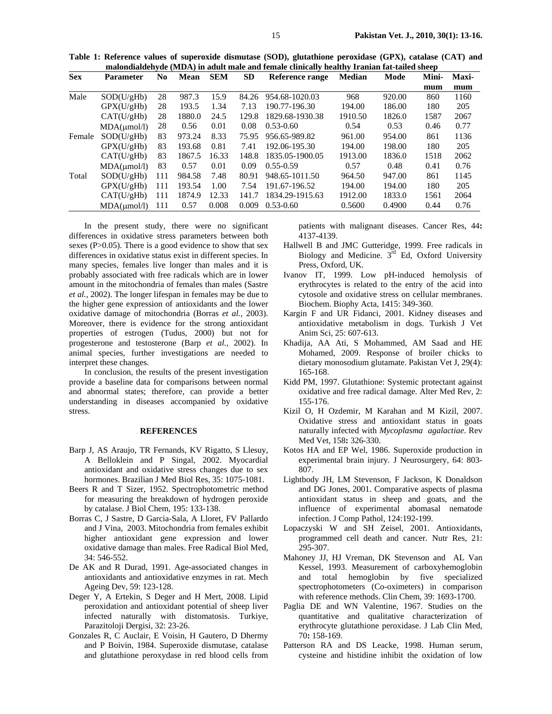**Table 1: Reference values of superoxide dismutase (SOD), glutathione peroxidase (GPX), catalase (CAT) and malondialdehyde (MDA) in adult male and female clinically healthy Iranian fat-tailed sheep** 

| <b>Sex</b> | Parameter    | N <sub>0</sub> | <b>Mean</b> | <b>SEM</b> | <b>SD</b> | Reference range | <b>Median</b> | Mode   | Mini- | Maxi- |
|------------|--------------|----------------|-------------|------------|-----------|-----------------|---------------|--------|-------|-------|
|            |              |                |             |            |           |                 |               |        | mum   | mum   |
| Male       | SOD(U/gHb)   | 28             | 987.3       | 15.9       | 84.26     | 954.68-1020.03  | 968           | 920.00 | 860   | 1160  |
|            | GPX(U/gHb)   | 28             | 193.5       | 1.34       | 7.13      | 190.77-196.30   | 194.00        | 186.00 | 180   | 205   |
|            | CAT(U/gHb)   | 28             | 1880.0      | 24.5       | 129.8     | 1829.68-1930.38 | 1910.50       | 1826.0 | 1587  | 2067  |
|            | MDA(numol/l) | 28             | 0.56        | 0.01       | 0.08      | $0.53 - 0.60$   | 0.54          | 0.53   | 0.46  | 0.77  |
| Female     | SOD(U/gHb)   | 83             | 973.24      | 8.33       | 75.95     | 956.65-989.82   | 961.00        | 954.00 | 861   | 1136  |
|            | GPX(U/gHb)   | 83             | 193.68      | 0.81       | 7.41      | 192.06-195.30   | 194.00        | 198.00 | 180   | 205   |
|            | CAT(U/gHb)   | 83             | 1867.5      | 16.33      | 148.8     | 1835.05-1900.05 | 1913.00       | 1836.0 | 1518  | 2062  |
|            | MDA(umol/l)  | 83             | 0.57        | 0.01       | 0.09      | $0.55 - 0.59$   | 0.57          | 0.48   | 0.41  | 0.76  |
| Total      | SOD(U/gHb)   | 111            | 984.58      | 7.48       | 80.91     | 948.65-1011.50  | 964.50        | 947.00 | 861   | 1145  |
|            | GPX(U/gHb)   | 111            | 193.54      | 1.00       | 7.54      | 191.67-196.52   | 194.00        | 194.00 | 180   | 205   |
|            | CAT(U/gHb)   | 111            | 1874.9      | 12.33      | 141.7     | 1834.29-1915.63 | 1912.00       | 1833.0 | 1561  | 2064  |
|            | MDA(numol/l) | 111            | 0.57        | 0.008      | 0.009     | $0.53 - 0.60$   | 0.5600        | 0.4900 | 0.44  | 0.76  |

In the present study, there were no significant differences in oxidative stress parameters between both sexes (P>0.05). There is a good evidence to show that sex differences in oxidative status exist in different species. In many species, females live longer than males and it is probably associated with free radicals which are in lower amount in the mitochondria of females than males (Sastre *et al.,* 2002). The longer lifespan in females may be due to the higher gene expression of antioxidants and the lower oxidative damage of mitochondria (Borras *et al.,* 2003). Moreover, there is evidence for the strong antioxidant properties of estrogen (Tudus, 2000) but not for progesterone and testosterone (Barp *et al.,* 2002). In animal species, further investigations are needed to interpret these changes.

In conclusion, the results of the present investigation provide a baseline data for comparisons between normal and abnormal states; therefore, can provide a better understanding in diseases accompanied by oxidative stress.

### **REFERENCES**

- Barp J, AS Araujo, TR Fernands, KV Rigatto, S Llesuy, A Belloklein and P Singal, 2002. Myocardial antioxidant and oxidative stress changes due to sex hormones. Brazilian J Med Biol Res*,* 35: 1075-1081.
- Beers R and T Sizer, 1952. Spectrophotometric method for measuring the breakdown of hydrogen peroxide by catalase. J Biol Chem, 195: 133-138.
- Borras C, J Sastre, D Garcia-Sala, A Lloret, FV Pallardo and J Vina, 2003. Mitochondria from females exhibit higher antioxidant gene expression and lower oxidative damage than males. Free Radical Biol Med, 34: 546-552.
- De AK and R Durad, 1991. Age-associated changes in antioxidants and antioxidative enzymes in rat. Mech Ageing Dev, 59: 123-128.
- Deger Y, A Ertekin, S Deger and H Mert, 2008. Lipid peroxidation and antioxidant potential of sheep liver infected naturally with distomatosis. Turkiye, Parazitoloji Dergisi*,* 32: 23-26.
- Gonzales R, C Auclair, E Voisin, H Gautero, D Dhermy and P Boivin*,* 1984. Superoxide dismutase, catalase and glutathione peroxydase in red blood cells from

patients with malignant diseases. Cancer Res, 44**:** 4137-4139.

- Hallwell B and JMC Gutteridge, 1999. Free radicals in Biology and Medicine. 3<sup>rd</sup> Ed, Oxford University Press, Oxford, UK.
- Ivanov IT, 1999. Low pH-induced hemolysis of erythrocytes is related to the entry of the acid into cytosole and oxidative stress on cellular membranes. Biochem. Biophy Acta, 1415: 349-360.
- Kargin F and UR Fidanci, 2001. Kidney diseases and antioxidative metabolism in dogs. Turkish J Vet Anim Sci, 25: 607-613.
- Khadija, AA Ati, S Mohammed, AM Saad and HE Mohamed, 2009. Response of broiler chicks to dietary monosodium glutamate. Pakistan Vet J, 29(4): 165-168.
- Kidd PM, 1997. Glutathione: Systemic protectant against oxidative and free radical damage. Alter Med Rev*,* 2: 155-176.
- Kizil O, H Ozdemir, M Karahan and M Kizil, 2007. Oxidative stress and antioxidant status in goats naturally infected with *Mycoplasma agalactiae*. Rev Med Vet*,* 158**:** 326-330.
- Kotos HA and EP Wel, 1986. Superoxide production in experimental brain injury*.* J Neurosurgery, 64: 803- 807.
- Lightbody JH, LM Stevenson, F Jackson, K Donaldson and DG Jones, 2001. Comparative aspects of plasma antioxidant status in sheep and goats, and the influence of experimental abomasal nematode infection. J Comp Pathol*,* 124:192-199.
- Lopaczyski W and SH Zeisel, 2001. Antioxidants, programmed cell death and cancer. Nutr Res, 21: 295-307.
- Mahoney JJ, HJ Vreman, DK Stevenson and AL Van Kessel, 1993. Measurement of carboxyhemoglobin and total hemoglobin by five specialized spectrophotometers (Co-oximeters) in comparison with reference methods. Clin Chem*,* 39: 1693-1700.
- Paglia DE and WN Valentine, 1967. Studies on the quantitative and qualitative characterization of erythrocyte glutathione peroxidase. J Lab Clin Med, 70**:** 158-169.
- Patterson RA and DS Leacke, 1998. Human serum, cysteine and histidine inhibit the oxidation of low